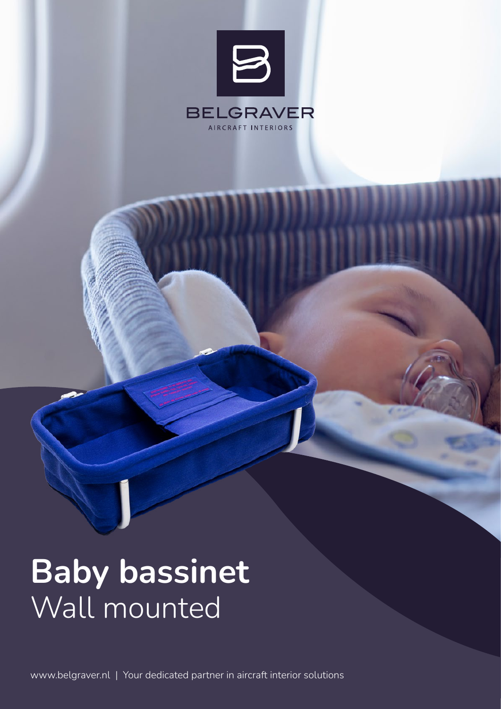

# Baby bassinet Wall mounted

www.belgraver.nl | Your dedicated partner in aircraft interior solutions